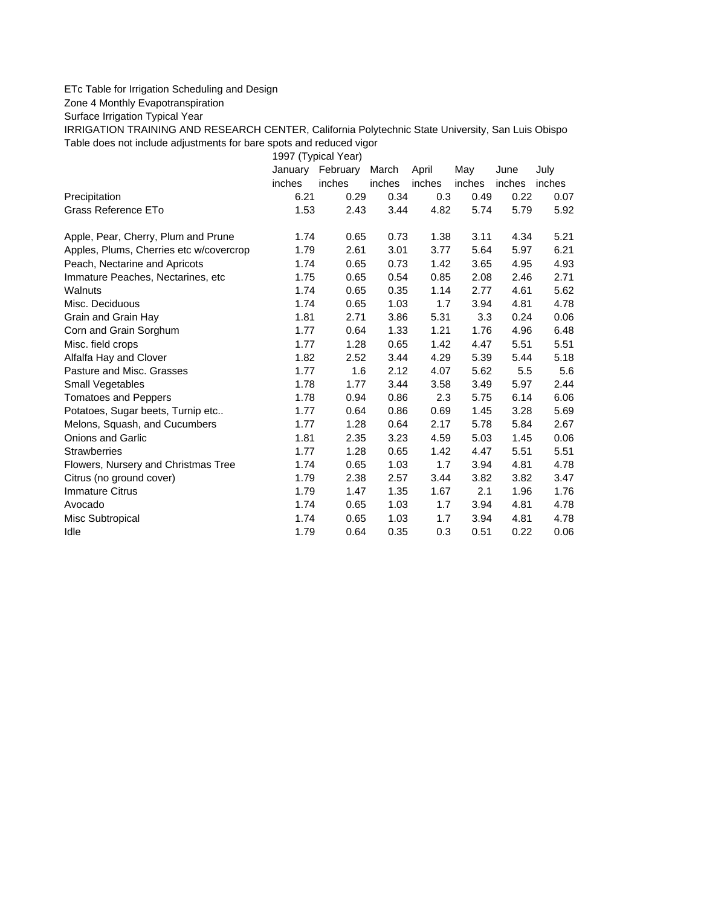## ETc Table for Irrigation Scheduling and Design

Zone 4 Monthly Evapotranspiration

Surface Irrigation Typical Year

IRRIGATION TRAINING AND RESEARCH CENTER, California Polytechnic State University, San Luis Obispo Table does not include adjustments for bare spots and reduced vigor

1997 (Typical Year)

|                                         |        | January February | March  | April  | May    | June   | July   |
|-----------------------------------------|--------|------------------|--------|--------|--------|--------|--------|
|                                         | inches | inches           | inches | inches | inches | inches | inches |
| Precipitation                           | 6.21   | 0.29             | 0.34   | 0.3    | 0.49   | 0.22   | 0.07   |
| Grass Reference ETo                     | 1.53   | 2.43             | 3.44   | 4.82   | 5.74   | 5.79   | 5.92   |
| Apple, Pear, Cherry, Plum and Prune     | 1.74   | 0.65             | 0.73   | 1.38   | 3.11   | 4.34   | 5.21   |
| Apples, Plums, Cherries etc w/covercrop | 1.79   | 2.61             | 3.01   | 3.77   | 5.64   | 5.97   | 6.21   |
| Peach, Nectarine and Apricots           | 1.74   | 0.65             | 0.73   | 1.42   | 3.65   | 4.95   | 4.93   |
| Immature Peaches, Nectarines, etc.      | 1.75   | 0.65             | 0.54   | 0.85   | 2.08   | 2.46   | 2.71   |
| Walnuts                                 | 1.74   | 0.65             | 0.35   | 1.14   | 2.77   | 4.61   | 5.62   |
| Misc. Deciduous                         | 1.74   | 0.65             | 1.03   | 1.7    | 3.94   | 4.81   | 4.78   |
| Grain and Grain Hay                     | 1.81   | 2.71             | 3.86   | 5.31   | 3.3    | 0.24   | 0.06   |
| Corn and Grain Sorghum                  | 1.77   | 0.64             | 1.33   | 1.21   | 1.76   | 4.96   | 6.48   |
| Misc. field crops                       | 1.77   | 1.28             | 0.65   | 1.42   | 4.47   | 5.51   | 5.51   |
| Alfalfa Hay and Clover                  | 1.82   | 2.52             | 3.44   | 4.29   | 5.39   | 5.44   | 5.18   |
| Pasture and Misc. Grasses               | 1.77   | 1.6              | 2.12   | 4.07   | 5.62   | 5.5    | 5.6    |
| Small Vegetables                        | 1.78   | 1.77             | 3.44   | 3.58   | 3.49   | 5.97   | 2.44   |
| <b>Tomatoes and Peppers</b>             | 1.78   | 0.94             | 0.86   | 2.3    | 5.75   | 6.14   | 6.06   |
| Potatoes, Sugar beets, Turnip etc       | 1.77   | 0.64             | 0.86   | 0.69   | 1.45   | 3.28   | 5.69   |
| Melons, Squash, and Cucumbers           | 1.77   | 1.28             | 0.64   | 2.17   | 5.78   | 5.84   | 2.67   |
| <b>Onions and Garlic</b>                | 1.81   | 2.35             | 3.23   | 4.59   | 5.03   | 1.45   | 0.06   |
| <b>Strawberries</b>                     | 1.77   | 1.28             | 0.65   | 1.42   | 4.47   | 5.51   | 5.51   |
| Flowers, Nursery and Christmas Tree     | 1.74   | 0.65             | 1.03   | 1.7    | 3.94   | 4.81   | 4.78   |
| Citrus (no ground cover)                | 1.79   | 2.38             | 2.57   | 3.44   | 3.82   | 3.82   | 3.47   |
| <b>Immature Citrus</b>                  | 1.79   | 1.47             | 1.35   | 1.67   | 2.1    | 1.96   | 1.76   |
| Avocado                                 | 1.74   | 0.65             | 1.03   | 1.7    | 3.94   | 4.81   | 4.78   |
| Misc Subtropical                        | 1.74   | 0.65             | 1.03   | 1.7    | 3.94   | 4.81   | 4.78   |
| Idle                                    | 1.79   | 0.64             | 0.35   | 0.3    | 0.51   | 0.22   | 0.06   |